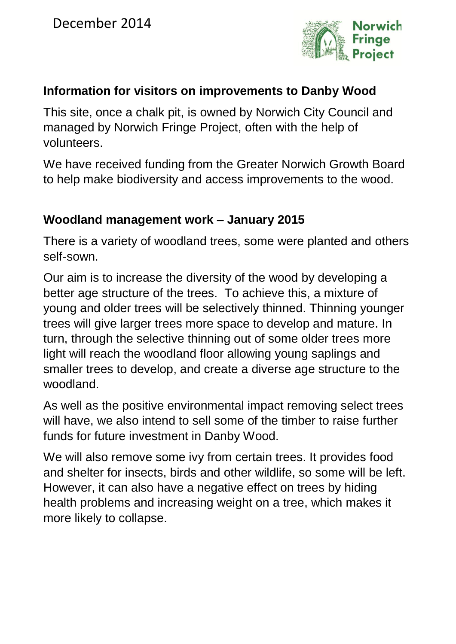

### **Information for visitors on improvements to Danby Wood**

This site, once a chalk pit, is owned by Norwich City Council and managed by Norwich Fringe Project, often with the help of volunteers.

We have received funding from the Greater Norwich Growth Board to help make biodiversity and access improvements to the wood.

#### **Woodland management work – January 2015**

There is a variety of woodland trees, some were planted and others self-sown.

Our aim is to increase the diversity of the wood by developing a better age structure of the trees. To achieve this, a mixture of young and older trees will be selectively thinned. Thinning younger trees will give larger trees more space to develop and mature. In turn, through the selective thinning out of some older trees more light will reach the woodland floor allowing young saplings and smaller trees to develop, and create a diverse age structure to the woodland.

As well as the positive environmental impact removing select trees will have, we also intend to sell some of the timber to raise further funds for future investment in Danby Wood.

We will also remove some ivy from certain trees. It provides food and shelter for insects, birds and other wildlife, so some will be left. However, it can also have a negative effect on trees by hiding health problems and increasing weight on a tree, which makes it more likely to collapse.